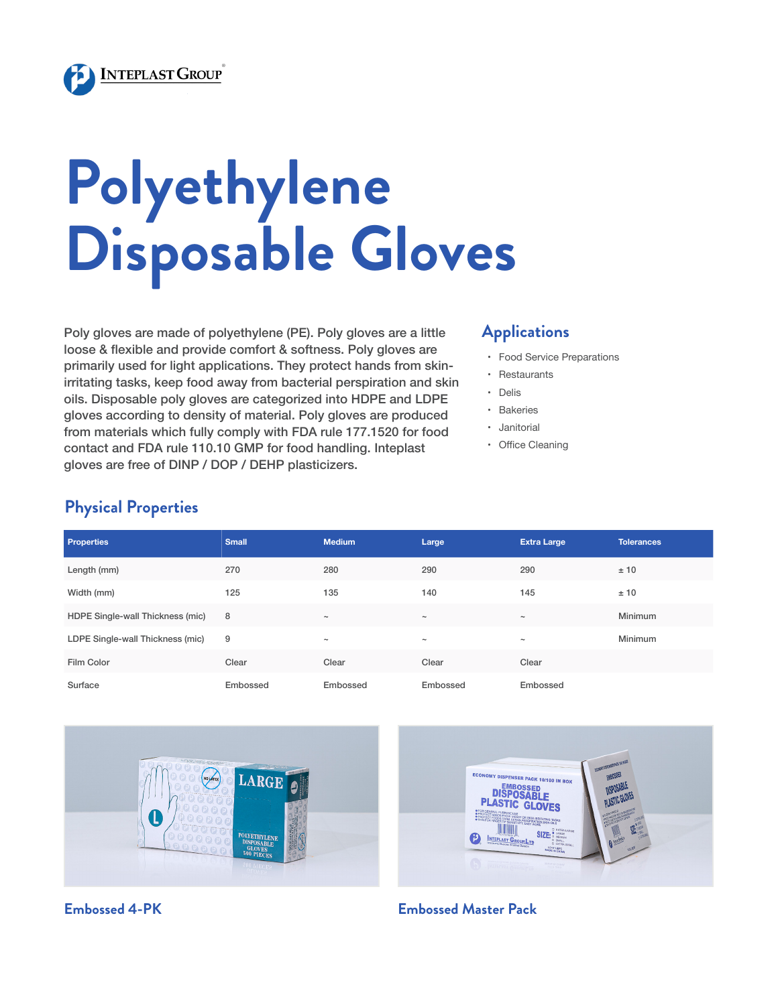

# **Polyethylene Disposable Gloves**

Poly gloves are made of polyethylene (PE). Poly gloves are a little loose & flexible and provide comfort & softness. Poly gloves are primarily used for light applications. They protect hands from skinirritating tasks, keep food away from bacterial perspiration and skin oils. Disposable poly gloves are categorized into HDPE and LDPE gloves according to density of material. Poly gloves are produced from materials which fully comply with FDA rule 177.1520 for food contact and FDA rule 110.10 GMP for food handling. Inteplast gloves are free of DINP / DOP / DEHP plasticizers.

# **Applications**

- • Food Service Preparations
- • Restaurants
- • Delis
- • Bakeries
- • Janitorial
- • Office Cleaning

# **Physical Properties**

| <b>Properties</b>                | <b>Small</b> | <b>Medium</b> | Large      | <b>Extra Large</b> | <b>Tolerances</b> |
|----------------------------------|--------------|---------------|------------|--------------------|-------------------|
| Length (mm)                      | 270          | 280           | 290        | 290                | ±10               |
| Width (mm)                       | 125          | 135           | 140        | 145                | ± 10              |
| HDPE Single-wall Thickness (mic) | 8            | $\tilde{}$    | $\tilde{}$ | $\tilde{}$         | Minimum           |
| LDPE Single-wall Thickness (mic) | 9            | $\tilde{}$    | $\tilde{}$ | $\tilde{}$         | Minimum           |
| Film Color                       | Clear        | Clear         | Clear      | Clear              |                   |
| Surface                          | Embossed     | Embossed      | Embossed   | Embossed           |                   |





### **Embossed 4-PK Embossed Master Pack**